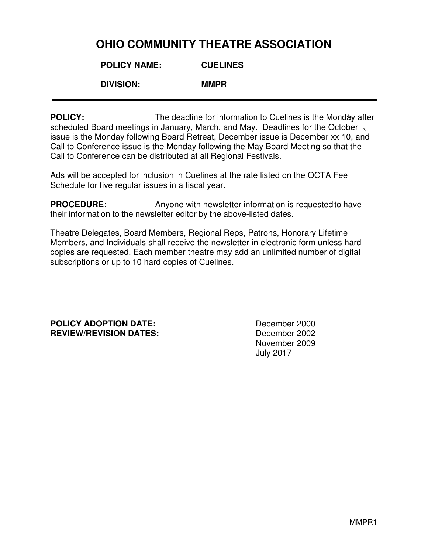## **OHIO COMMUNITY THEATRE ASSOCIATION**

| <b>POLICY NAME:</b> | <b>CUELINES</b> |
|---------------------|-----------------|
|                     |                 |

 **DIVISION: MMPR** 

**POLICY:** The deadline for information to Cuelines is the Monday after scheduled Board meetings in January, March, and May. Deadlines for the October  $h$ issue is the Monday following Board Retreat, December issue is December \*\* 10, and Call to Conference issue is the Monday following the May Board Meeting so that the Call to Conference can be distributed at all Regional Festivals.

Ads will be accepted for inclusion in Cuelines at the rate listed on the OCTA Fee Schedule for five regular issues in a fiscal year.

**PROCEDURE:** Anyone with newsletter information is requested to have their information to the newsletter editor by the above-listed dates.

Theatre Delegates, Board Members, Regional Reps, Patrons, Honorary Lifetime Members, and Individuals shall receive the newsletter in electronic form unless hard copies are requested. Each member theatre may add an unlimited number of digital subscriptions or up to 10 hard copies of Cuelines.

**POLICY ADOPTION DATE:** December 2000 **REVIEW/REVISION DATES:** December 2002

November 2009 July 2017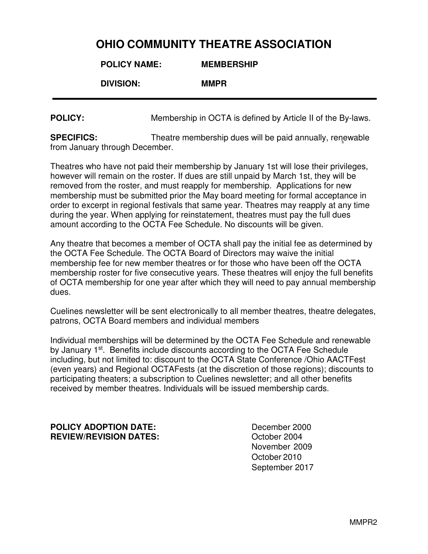## **OHIO COMMUNITY THEATRE ASSOCIATION**

| <b>POLICY NAME:</b> | <b>MEMBERSHIP</b> |
|---------------------|-------------------|
| <b>DIVISION:</b>    | <b>MMPR</b>       |
|                     |                   |

**POLICY:** Membership in OCTA is defined by Article II of the By-laws.

**SPECIFICS:** Theatre membership dues will be paid annually, renewable from January through December.

Theatres who have not paid their membership by January 1st will lose their privileges, however will remain on the roster. If dues are still unpaid by March 1st, they will be removed from the roster, and must reapply for membership. Applications for new membership must be submitted prior the May board meeting for formal acceptance in order to excerpt in regional festivals that same year. Theatres may reapply at any time during the year. When applying for reinstatement, theatres must pay the full dues amount according to the OCTA Fee Schedule. No discounts will be given.

Any theatre that becomes a member of OCTA shall pay the initial fee as determined by the OCTA Fee Schedule. The OCTA Board of Directors may waive the initial membership fee for new member theatres or for those who have been off the OCTA membership roster for five consecutive years. These theatres will enjoy the full benefits of OCTA membership for one year after which they will need to pay annual membership dues.

Cuelines newsletter will be sent electronically to all member theatres, theatre delegates, patrons, OCTA Board members and individual members

. Individual memberships will be determined by the OCTA Fee Schedule and renewable by January 1<sup>st</sup>. Benefits include discounts according to the OCTA Fee Schedule including, but not limited to: discount to the OCTA State Conference /Ohio AACTFest (even years) and Regional OCTAFests (at the discretion of those regions); discounts to participating theaters; a subscription to Cuelines newsletter; and all other benefits received by member theatres. Individuals will be issued membership cards.

**POLICY ADOPTION DATE:** December 2000 **REVIEW/REVISION DATES:**  $\qquad \qquad$  October 2004

 November 2009 October 2010 September 2017